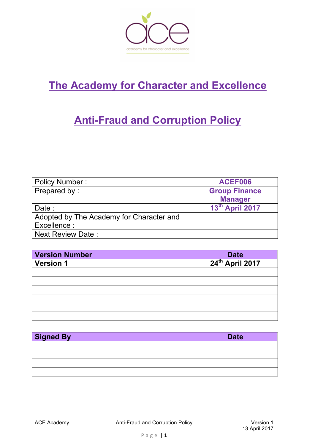

# **The Academy for Character and Excellence**

## **Anti-Fraud and Corruption Policy**

| <b>Policy Number:</b>                    | ACEF006              |
|------------------------------------------|----------------------|
| Prepared by:                             | <b>Group Finance</b> |
|                                          | <b>Manager</b>       |
| Date :                                   | 13th April 2017      |
| Adopted by The Academy for Character and |                      |
| Excellence :                             |                      |
| <b>Next Review Date:</b>                 |                      |

| <b>Version Number</b> |                                     |
|-----------------------|-------------------------------------|
| <b>Version 1</b>      | Date<br>24 <sup>th</sup> April 2017 |
|                       |                                     |
|                       |                                     |
|                       |                                     |
|                       |                                     |
|                       |                                     |
|                       |                                     |

| <b>Signed By</b> | <b>Date</b> |
|------------------|-------------|
|                  |             |
|                  |             |
|                  |             |
|                  |             |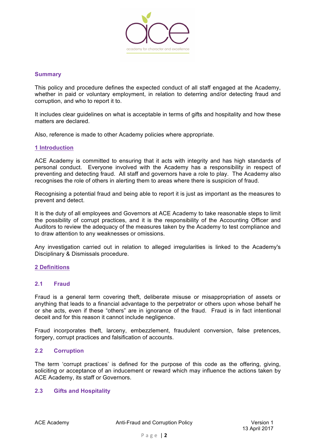

#### **Summary**

This policy and procedure defines the expected conduct of all staff engaged at the Academy, whether in paid or voluntary employment, in relation to deterring and/or detecting fraud and corruption, and who to report it to.

It includes clear guidelines on what is acceptable in terms of gifts and hospitality and how these matters are declared.

Also, reference is made to other Academy policies where appropriate.

## **1 Introduction**

ACE Academy is committed to ensuring that it acts with integrity and has high standards of personal conduct. Everyone involved with the Academy has a responsibility in respect of preventing and detecting fraud. All staff and governors have a role to play. The Academy also recognises the role of others in alerting them to areas where there is suspicion of fraud.

Recognising a potential fraud and being able to report it is just as important as the measures to prevent and detect.

It is the duty of all employees and Governors at ACE Academy to take reasonable steps to limit the possibility of corrupt practices, and it is the responsibility of the Accounting Officer and Auditors to review the adequacy of the measures taken by the Academy to test compliance and to draw attention to any weaknesses or omissions.

Any investigation carried out in relation to alleged irregularities is linked to the Academy's Disciplinary & Dismissals procedure.

## **2 Definitions**

## **2.1 Fraud**

Fraud is a general term covering theft, deliberate misuse or misappropriation of assets or anything that leads to a financial advantage to the perpetrator or others upon whose behalf he or she acts, even if these "others" are in ignorance of the fraud. Fraud is in fact intentional deceit and for this reason it cannot include negligence.

Fraud incorporates theft, larceny, embezzlement, fraudulent conversion, false pretences, forgery, corrupt practices and falsification of accounts.

## **2.2 Corruption**

The term 'corrupt practices' is defined for the purpose of this code as the offering, giving, soliciting or acceptance of an inducement or reward which may influence the actions taken by ACE Academy, its staff or Governors.

## **2.3 Gifts and Hospitality**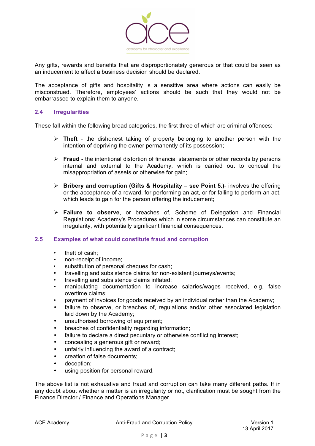

Any gifts, rewards and benefits that are disproportionately generous or that could be seen as an inducement to affect a business decision should be declared.

The acceptance of gifts and hospitality is a sensitive area where actions can easily be misconstrued. Therefore, employees' actions should be such that they would not be embarrassed to explain them to anyone.

## **2.4 Irregularities**

These fall within the following broad categories, the first three of which are criminal offences:

- Ø **Theft**  the dishonest taking of property belonging to another person with the intention of depriving the owner permanently of its possession;
- Ø **Fraud**  the intentional distortion of financial statements or other records by persons internal and external to the Academy, which is carried out to conceal the misappropriation of assets or otherwise for gain;
- Ø **Bribery and corruption (Gifts & Hospitality – see Point 5.)** involves the offering or the acceptance of a reward, for performing an act, or for failing to perform an act, which leads to gain for the person offering the inducement;
- Ø **Failure to observe**, or breaches of, Scheme of Delegation and Financial Regulations; Academy's Procedures which in some circumstances can constitute an irregularity, with potentially significant financial consequences.

## **2.5 Examples of what could constitute fraud and corruption**

- theft of cash;
- non-receipt of income;
- substitution of personal cheques for cash:
- travelling and subsistence claims for non-existent journeys/events;
- travelling and subsistence claims inflated;
- manipulating documentation to increase salaries/wages received, e.g. false overtime claims;
- payment of invoices for goods received by an individual rather than the Academy;
- failure to observe, or breaches of, regulations and/or other associated legislation laid down by the Academy;
- unauthorised borrowing of equipment;
- breaches of confidentiality regarding information;
- failure to declare a direct pecuniary or otherwise conflicting interest;
- concealing a generous gift or reward;
- unfairly influencing the award of a contract;
- creation of false documents;
- deception;
- using position for personal reward.

The above list is not exhaustive and fraud and corruption can take many different paths. If in any doubt about whether a matter is an irregularity or not, clarification must be sought from the Finance Director / Finance and Operations Manager.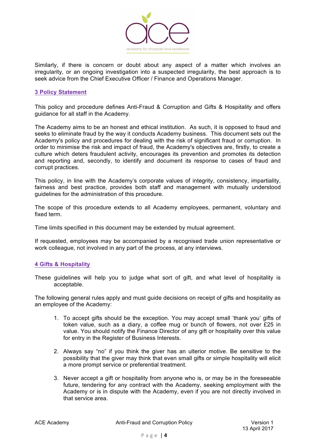

Similarly, if there is concern or doubt about any aspect of a matter which involves an irregularity, or an ongoing investigation into a suspected irregularity, the best approach is to seek advice from the Chief Executive Officer / Finance and Operations Manager.

## **3 Policy Statement**

This policy and procedure defines Anti-Fraud & Corruption and Gifts & Hospitality and offers guidance for all staff in the Academy.

The Academy aims to be an honest and ethical institution. As such, it is opposed to fraud and seeks to eliminate fraud by the way it conducts Academy business. This document sets out the Academy's policy and procedures for dealing with the risk of significant fraud or corruption. In order to minimise the risk and impact of fraud, the Academy's objectives are, firstly, to create a culture which deters fraudulent activity, encourages its prevention and promotes its detection and reporting and, secondly, to identify and document its response to cases of fraud and corrupt practices.

This policy, in line with the Academy's corporate values of integrity, consistency, impartiality, fairness and best practice, provides both staff and management with mutually understood guidelines for the administration of this procedure.

The scope of this procedure extends to all Academy employees, permanent, voluntary and fixed term.

Time limits specified in this document may be extended by mutual agreement.

If requested, employees may be accompanied by a recognised trade union representative or work colleague, not involved in any part of the process, at any interviews.

## **4 Gifts & Hospitality**

These guidelines will help you to judge what sort of gift, and what level of hospitality is acceptable.

The following general rules apply and must guide decisions on receipt of gifts and hospitality as an employee of the Academy:

- 1. To accept gifts should be the exception. You may accept small 'thank you' gifts of token value, such as a diary, a coffee mug or bunch of flowers, not over £25 in value. You should notify the Finance Director of any gift or hospitality over this value for entry in the Register of Business Interests.
- 2. Always say "no" if you think the giver has an ulterior motive. Be sensitive to the possibility that the giver may think that even small gifts or simple hospitality will elicit a more prompt service or preferential treatment.
- 3. Never accept a gift or hospitality from anyone who is, or may be in the foreseeable future, tendering for any contract with the Academy, seeking employment with the Academy or is in dispute with the Academy, even if you are not directly involved in that service area.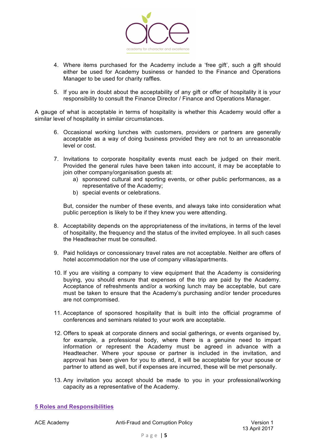

- 4. Where items purchased for the Academy include a 'free gift', such a gift should either be used for Academy business or handed to the Finance and Operations Manager to be used for charity raffles.
- 5. If you are in doubt about the acceptability of any gift or offer of hospitality it is your responsibility to consult the Finance Director / Finance and Operations Manager.

A gauge of what is acceptable in terms of hospitality is whether this Academy would offer a similar level of hospitality in similar circumstances.

- 6. Occasional working lunches with customers, providers or partners are generally acceptable as a way of doing business provided they are not to an unreasonable level or cost.
- 7. Invitations to corporate hospitality events must each be judged on their merit. Provided the general rules have been taken into account, it may be acceptable to join other company/organisation guests at:
	- a) sponsored cultural and sporting events, or other public performances, as a representative of the Academy;
	- b) special events or celebrations.

But, consider the number of these events, and always take into consideration what public perception is likely to be if they knew you were attending.

- 8. Acceptability depends on the appropriateness of the invitations, in terms of the level of hospitality, the frequency and the status of the invited employee. In all such cases the Headteacher must be consulted.
- 9. Paid holidays or concessionary travel rates are not acceptable. Neither are offers of hotel accommodation nor the use of company villas/apartments.
- 10. If you are visiting a company to view equipment that the Academy is considering buying, you should ensure that expenses of the trip are paid by the Academy. Acceptance of refreshments and/or a working lunch may be acceptable, but care must be taken to ensure that the Academy's purchasing and/or tender procedures are not compromised.
- 11. Acceptance of sponsored hospitality that is built into the official programme of conferences and seminars related to your work are acceptable.
- 12. Offers to speak at corporate dinners and social gatherings, or events organised by, for example, a professional body, where there is a genuine need to impart information or represent the Academy must be agreed in advance with a Headteacher. Where your spouse or partner is included in the invitation, and approval has been given for you to attend, it will be acceptable for your spouse or partner to attend as well, but if expenses are incurred, these will be met personally.
- 13. Any invitation you accept should be made to you in your professional/working capacity as a representative of the Academy.

**5 Roles and Responsibilities**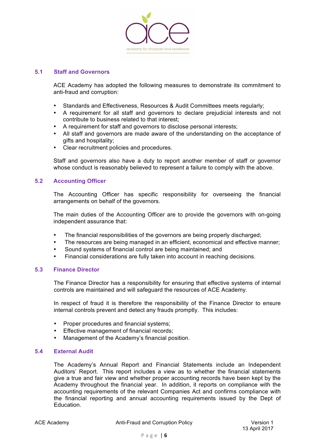

## **5.1 Staff and Governors**

ACE Academy has adopted the following measures to demonstrate its commitment to anti-fraud and corruption:

- Standards and Effectiveness, Resources & Audit Committees meets regularly;
- A requirement for all staff and governors to declare prejudicial interests and not contribute to business related to that interest;
- A requirement for staff and governors to disclose personal interests;
- All staff and governors are made aware of the understanding on the acceptance of gifts and hospitality;
- Clear recruitment policies and procedures.

Staff and governors also have a duty to report another member of staff or governor whose conduct is reasonably believed to represent a failure to comply with the above.

## **5.2 Accounting Officer**

The Accounting Officer has specific responsibility for overseeing the financial arrangements on behalf of the governors.

The main duties of the Accounting Officer are to provide the governors with on-going independent assurance that:

- The financial responsibilities of the governors are being properly discharged;
- The resources are being managed in an efficient, economical and effective manner;
- Sound systems of financial control are being maintained; and
- Financial considerations are fully taken into account in reaching decisions.

## **5.3 Finance Director**

The Finance Director has a responsibility for ensuring that effective systems of internal controls are maintained and will safeguard the resources of ACE Academy.

In respect of fraud it is therefore the responsibility of the Finance Director to ensure internal controls prevent and detect any frauds promptly. This includes:

- Proper procedures and financial systems;
- Effective management of financial records;
- Management of the Academy's financial position.

## **5.4 External Audit**

The Academy's Annual Report and Financial Statements include an Independent Auditors' Report. This report includes a view as to whether the financial statements give a true and fair view and whether proper accounting records have been kept by the Academy throughout the financial year. In addition, it reports on compliance with the accounting requirements of the relevant Companies Act and confirms compliance with the financial reporting and annual accounting requirements issued by the Dept of Education.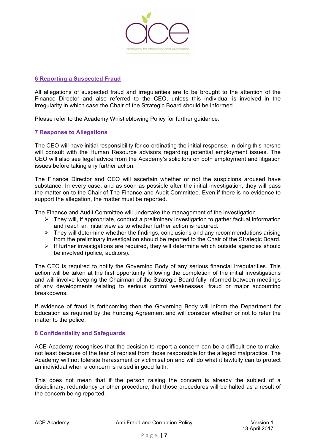

## **6 Reporting a Suspected Fraud**

All allegations of suspected fraud and irregularities are to be brought to the attention of the Finance Director and also referred to the CEO, unless this individual is involved in the irregularity in which case the Chair of the Strategic Board should be informed.

Please refer to the Academy Whistleblowing Policy for further guidance.

## **7 Response to Allegations**

The CEO will have initial responsibility for co-ordinating the initial response. In doing this he/she will consult with the Human Resource advisors regarding potential employment issues. The CEO will also see legal advice from the Academy's solicitors on both employment and litigation issues before taking any further action.

The Finance Director and CEO will ascertain whether or not the suspicions aroused have substance. In every case, and as soon as possible after the initial investigation, they will pass the matter on to the Chair of The Finance and Audit Committee. Even if there is no evidence to support the allegation, the matter must be reported.

The Finance and Audit Committee will undertake the management of the investigation.

- $\triangleright$  They will, if appropriate, conduct a preliminary investigation to gather factual information and reach an initial view as to whether further action is required.
- $\triangleright$  They will determine whether the findings, conclusions and any recommendations arising from the preliminary investigation should be reported to the Chair of the Strategic Board.
- $\triangleright$  If further investigations are required, they will determine which outside agencies should be involved (police, auditors).

The CEO is required to notify the Governing Body of any serious financial irregularities. This action will be taken at the first opportunity following the completion of the initial investigations and will involve keeping the Chairman of the Strategic Board fully informed between meetings of any developments relating to serious control weaknesses, fraud or major accounting breakdowns.

If evidence of fraud is forthcoming then the Governing Body will inform the Department for Education as required by the Funding Agreement and will consider whether or not to refer the matter to the police.

## **8 Confidentiality and Safeguards**

ACE Academy recognises that the decision to report a concern can be a difficult one to make, not least because of the fear of reprisal from those responsible for the alleged malpractice. The Academy will not tolerate harassment or victimisation and will do what it lawfully can to protect an individual when a concern is raised in good faith.

This does not mean that if the person raising the concern is already the subject of a disciplinary, redundancy or other procedure, that those procedures will be halted as a result of the concern being reported.